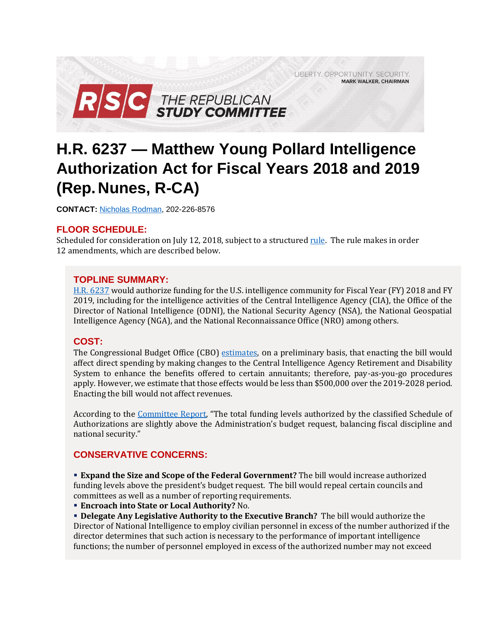LIBERTY. OPPORTUNITY. SECURITY. **MARK WALKER, CHAIRMAN** 



# **H.R. 6237 — Matthew Young Pollard Intelligence Authorization Act for Fiscal Years 2018 and 2019 (Rep. Nunes, R-CA)**

**CONTACT:** [Nicholas Rodman,](mailto:nicholas.rodman@mail.house.gov) 202-226-8576

# **FLOOR SCHEDULE:**

Scheduled for consideration on July 12, 2018, subject to a structured [rule.](https://rules.house.gov/bill/115/hr-6237) The rule makes in order 12 amendments, which are described below.

# **TOPLINE SUMMARY:**

[H.R. 6237](https://docs.house.gov/billsthisweek/20180709/BILLS-115HR6237-RCP115-80.pdf) would authorize funding for the U.S. intelligence community for Fiscal Year (FY) 2018 and FY 2019, including for the intelligence activities of the Central Intelligence Agency (CIA), the Office of the Director of National Intelligence (ODNI), the National Security Agency (NSA), the National Geospatial Intelligence Agency (NGA), and the National Reconnaissance Office (NRO) among others.

# **COST:**

The Congressional Budget Office (CBO) [estimates,](https://www.cbo.gov/system/files?file=2018-07/54146hr6237preliminary.pdf) on a preliminary basis, that enacting the bill would affect direct spending by making changes to the Central Intelligence Agency Retirement and Disability System to enhance the benefits offered to certain annuitants; therefore, pay-as-you-go procedures apply. However, we estimate that those effects would be less than \$500,000 over the 2019-2028 period. Enacting the bill would not affect revenues.

According to the [Committee Report](https://www.congress.gov/115/crpt/hrpt805/CRPT-115hrpt805-pt1.pdf), "The total funding levels authorized by the classified Schedule of Authorizations are slightly above the Administration's budget request, balancing fiscal discipline and national security."

# **CONSERVATIVE CONCERNS:**

 **Expand the Size and Scope of the Federal Government?** The bill would increase authorized funding levels above the president's budget request. The bill would repeal certain councils and committees as well as a number of reporting requirements.

**Encroach into State or Local Authority?** No.

 **Delegate Any Legislative Authority to the Executive Branch?** The bill would authorize the Director of National Intelligence to employ civilian personnel in excess of the number authorized if the director determines that such action is necessary to the performance of important intelligence functions; the number of personnel employed in excess of the authorized number may not exceed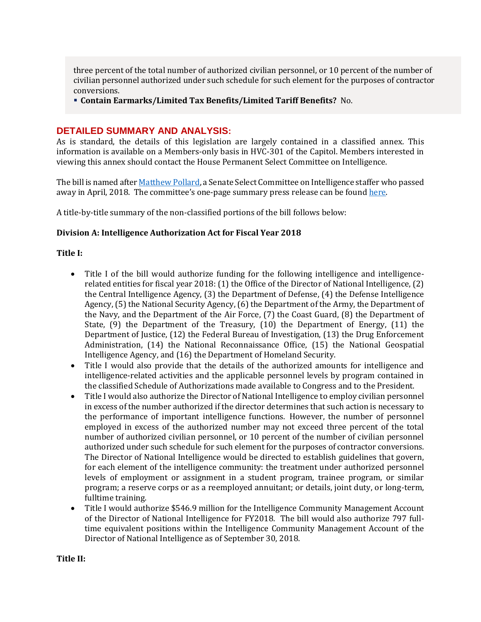three percent of the total number of authorized civilian personnel, or 10 percent of the number of civilian personnel authorized under such schedule for such element for the purposes of contractor conversions.

**Contain Earmarks/Limited Tax Benefits/Limited Tariff Benefits?** No.

## **DETAILED SUMMARY AND ANALYSIS:**

As is standard, the details of this legislation are largely contained in a classified annex. This information is available on a Members-only basis in HVC-301 of the Capitol. Members interested in viewing this annex should contact the House Permanent Select Committee on Intelligence.

The bill is named afte[r Matthew Pollard,](https://www.burr.senate.gov/press/releases/senate-intelligence-committee-statement-on-the-passing-of-matt-pollard) a Senate Select Committee on Intelligence staffer who passed away in April, 2018. The committee's one-page summary press release can be found [here.](https://intelligence.house.gov/news/documentsingle.aspx?DocumentID=895)

A title-by-title summary of the non-classified portions of the bill follows below:

#### **Division A: Intelligence Authorization Act for Fiscal Year 2018**

#### **Title I:**

- Title I of the bill would authorize funding for the following intelligence and intelligencerelated entities for fiscal year 2018: (1) the Office of the Director of National Intelligence, (2) the Central Intelligence Agency, (3) the Department of Defense, (4) the Defense Intelligence Agency, (5) the National Security Agency, (6) the Department of the Army, the Department of the Navy, and the Department of the Air Force, (7) the Coast Guard, (8) the Department of State, (9) the Department of the Treasury, (10) the Department of Energy, (11) the Department of Justice, (12) the Federal Bureau of Investigation, (13) the Drug Enforcement Administration, (14) the National Reconnaissance Office, (15) the National Geospatial Intelligence Agency, and (16) the Department of Homeland Security.
- Title I would also provide that the details of the authorized amounts for intelligence and intelligence-related activities and the applicable personnel levels by program contained in the classified Schedule of Authorizations made available to Congress and to the President.
- Title I would also authorize the Director of National Intelligence to employ civilian personnel in excess of the number authorized if the director determines that such action is necessary to the performance of important intelligence functions. However, the number of personnel employed in excess of the authorized number may not exceed three percent of the total number of authorized civilian personnel, or 10 percent of the number of civilian personnel authorized under such schedule for such element for the purposes of contractor conversions. The Director of National Intelligence would be directed to establish guidelines that govern, for each element of the intelligence community: the treatment under authorized personnel levels of employment or assignment in a student program, trainee program, or similar program; a reserve corps or as a reemployed annuitant; or details, joint duty, or long-term, fulltime training.
- Title I would authorize \$546.9 million for the Intelligence Community Management Account of the Director of National Intelligence for FY2018. The bill would also authorize 797 fulltime equivalent positions within the Intelligence Community Management Account of the Director of National Intelligence as of September 30, 2018.

**Title II:**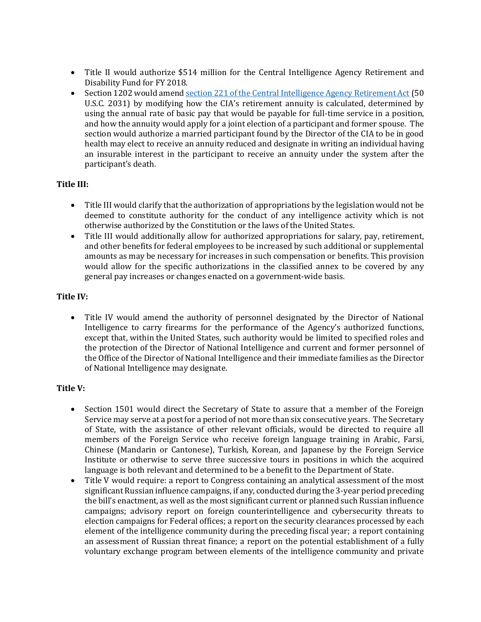- Title II would authorize \$514 million for the Central Intelligence Agency Retirement and Disability Fund for FY 2018.
- Section 1202 would amend section 221 of the [Central Intelligence Agency Retirement Act](https://www.law.cornell.edu/uscode/text/50/2031) (50 U.S.C. 2031) by modifying how the CIA's retirement annuity is calculated, determined by using the annual rate of basic pay that would be payable for full-time service in a position, and how the annuity would apply for a joint election of a participant and former spouse. The section would authorize a married participant found by the Director of the CIA to be in good health may elect to receive an annuity reduced and designate in writing an individual having an insurable interest in the participant to receive an annuity under the system after the participant's death.

# **Title III:**

- Title III would clarify that the authorization of appropriations by the legislation would not be deemed to constitute authority for the conduct of any intelligence activity which is not otherwise authorized by the Constitution or the laws of the United States.
- Title III would additionally allow for authorized appropriations for salary, pay, retirement, and other benefits for federal employees to be increased by such additional or supplemental amounts as may be necessary for increases in such compensation or benefits. This provision would allow for the specific authorizations in the classified annex to be covered by any general pay increases or changes enacted on a government-wide basis.

# **Title IV:**

 Title IV would amend the authority of personnel designated by the Director of National Intelligence to carry firearms for the performance of the Agency's authorized functions, except that, within the United States, such authority would be limited to specified roles and the protection of the Director of National Intelligence and current and former personnel of the Office of the Director of National Intelligence and their immediate families as the Director of National Intelligence may designate.

## **Title V:**

- Section 1501 would direct the Secretary of State to assure that a member of the Foreign Service may serve at a post for a period of not more than six consecutive years. The Secretary of State, with the assistance of other relevant officials, would be directed to require all members of the Foreign Service who receive foreign language training in Arabic, Farsi, Chinese (Mandarin or Cantonese), Turkish, Korean, and Japanese by the Foreign Service Institute or otherwise to serve three successive tours in positions in which the acquired language is both relevant and determined to be a benefit to the Department of State.
- Title V would require: a report to Congress containing an analytical assessment of the most significant Russian influence campaigns, if any, conducted during the 3-year period preceding the bill's enactment, as well as the most significant current or planned such Russian influence campaigns; advisory report on foreign counterintelligence and cybersecurity threats to election campaigns for Federal offices; a report on the security clearances processed by each element of the intelligence community during the preceding fiscal year; a report containing an assessment of Russian threat finance; a report on the potential establishment of a fully voluntary exchange program between elements of the intelligence community and private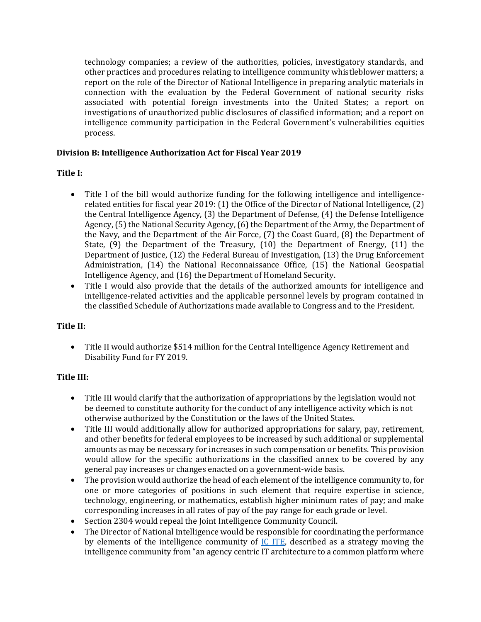technology companies; a review of the authorities, policies, investigatory standards, and other practices and procedures relating to intelligence community whistleblower matters; a report on the role of the Director of National Intelligence in preparing analytic materials in connection with the evaluation by the Federal Government of national security risks associated with potential foreign investments into the United States; a report on investigations of unauthorized public disclosures of classified information; and a report on intelligence community participation in the Federal Government's vulnerabilities equities process.

# **Division B: Intelligence Authorization Act for Fiscal Year 2019**

# **Title I:**

- Title I of the bill would authorize funding for the following intelligence and intelligencerelated entities for fiscal year 2019: (1) the Office of the Director of National Intelligence, (2) the Central Intelligence Agency, (3) the Department of Defense, (4) the Defense Intelligence Agency, (5) the National Security Agency, (6) the Department of the Army, the Department of the Navy, and the Department of the Air Force, (7) the Coast Guard, (8) the Department of State, (9) the Department of the Treasury, (10) the Department of Energy, (11) the Department of Justice, (12) the Federal Bureau of Investigation, (13) the Drug Enforcement Administration, (14) the National Reconnaissance Office, (15) the National Geospatial Intelligence Agency, and (16) the Department of Homeland Security.
- Title I would also provide that the details of the authorized amounts for intelligence and intelligence-related activities and the applicable personnel levels by program contained in the classified Schedule of Authorizations made available to Congress and to the President.

# **Title II:**

 Title II would authorize \$514 million for the Central Intelligence Agency Retirement and Disability Fund for FY 2019.

# **Title III:**

- Title III would clarify that the authorization of appropriations by the legislation would not be deemed to constitute authority for the conduct of any intelligence activity which is not otherwise authorized by the Constitution or the laws of the United States.
- Title III would additionally allow for authorized appropriations for salary, pay, retirement, and other benefits for federal employees to be increased by such additional or supplemental amounts as may be necessary for increases in such compensation or benefits. This provision would allow for the specific authorizations in the classified annex to be covered by any general pay increases or changes enacted on a government-wide basis.
- The provision would authorize the head of each element of the intelligence community to, for one or more categories of positions in such element that require expertise in science, technology, engineering, or mathematics, establish higher minimum rates of pay; and make corresponding increases in all rates of pay of the pay range for each grade or level.
- Section 2304 would repeal the Joint Intelligence Community Council.
- The Director of National Intelligence would be responsible for coordinating the performance by elements of the intelligence community of  $IC$  ITE, described as a strategy moving the intelligence community from "an agency centric IT architecture to a common platform where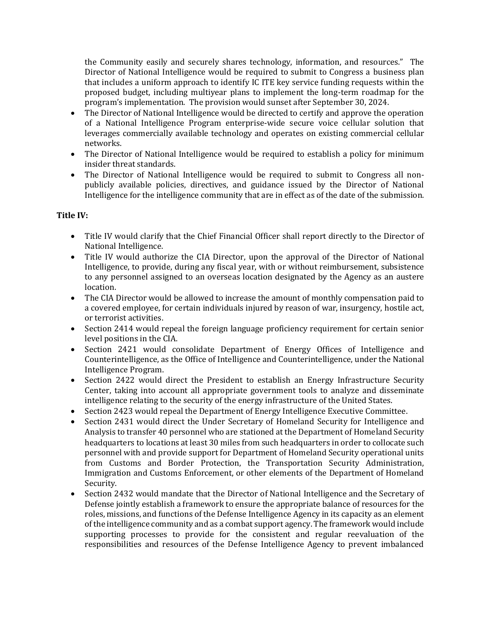the Community easily and securely shares technology, information, and resources." The Director of National Intelligence would be required to submit to Congress a business plan that includes a uniform approach to identify IC ITE key service funding requests within the proposed budget, including multiyear plans to implement the long-term roadmap for the program's implementation. The provision would sunset after September 30, 2024.

- The Director of National Intelligence would be directed to certify and approve the operation of a National Intelligence Program enterprise-wide secure voice cellular solution that leverages commercially available technology and operates on existing commercial cellular networks.
- The Director of National Intelligence would be required to establish a policy for minimum insider threat standards.
- The Director of National Intelligence would be required to submit to Congress all nonpublicly available policies, directives, and guidance issued by the Director of National Intelligence for the intelligence community that are in effect as of the date of the submission.

## **Title IV:**

- Title IV would clarify that the Chief Financial Officer shall report directly to the Director of National Intelligence.
- Title IV would authorize the CIA Director, upon the approval of the Director of National Intelligence, to provide, during any fiscal year, with or without reimbursement, subsistence to any personnel assigned to an overseas location designated by the Agency as an austere location.
- The CIA Director would be allowed to increase the amount of monthly compensation paid to a covered employee, for certain individuals injured by reason of war, insurgency, hostile act, or terrorist activities.
- Section 2414 would repeal the foreign language proficiency requirement for certain senior level positions in the CIA.
- Section 2421 would consolidate Department of Energy Offices of Intelligence and Counterintelligence, as the Office of Intelligence and Counterintelligence, under the National Intelligence Program.
- Section 2422 would direct the President to establish an Energy Infrastructure Security Center, taking into account all appropriate government tools to analyze and disseminate intelligence relating to the security of the energy infrastructure of the United States.
- Section 2423 would repeal the Department of Energy Intelligence Executive Committee.
- Section 2431 would direct the Under Secretary of Homeland Security for Intelligence and Analysis to transfer 40 personnel who are stationed at the Department of Homeland Security headquarters to locations at least 30 miles from such headquarters in order to collocate such personnel with and provide support for Department of Homeland Security operational units from Customs and Border Protection, the Transportation Security Administration, Immigration and Customs Enforcement, or other elements of the Department of Homeland Security.
- Section 2432 would mandate that the Director of National Intelligence and the Secretary of Defense jointly establish a framework to ensure the appropriate balance of resources for the roles, missions, and functions of the Defense Intelligence Agency in its capacity as an element of the intelligence community and as a combat support agency. The framework would include supporting processes to provide for the consistent and regular reevaluation of the responsibilities and resources of the Defense Intelligence Agency to prevent imbalanced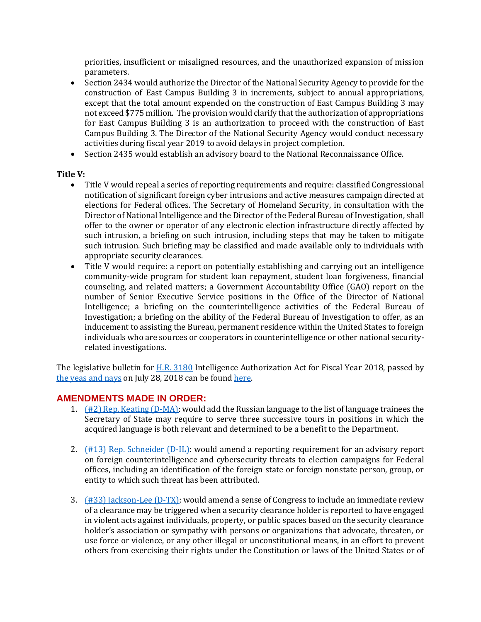priorities, insufficient or misaligned resources, and the unauthorized expansion of mission parameters.

- Section 2434 would authorize the Director of the National Security Agency to provide for the construction of East Campus Building 3 in increments, subject to annual appropriations, except that the total amount expended on the construction of East Campus Building 3 may not exceed \$775 million. The provision would clarify that the authorization of appropriations for East Campus Building 3 is an authorization to proceed with the construction of East Campus Building 3. The Director of the National Security Agency would conduct necessary activities during fiscal year 2019 to avoid delays in project completion.
- Section 2435 would establish an advisory board to the National Reconnaissance Office.

#### **Title V:**

- Title V would repeal a series of reporting requirements and require: classified Congressional notification of significant foreign cyber intrusions and active measures campaign directed at elections for Federal offices. The Secretary of Homeland Security, in consultation with the Director of National Intelligence and the Director of the Federal Bureau of Investigation, shall offer to the owner or operator of any electronic election infrastructure directly affected by such intrusion, a briefing on such intrusion, including steps that may be taken to mitigate such intrusion. Such briefing may be classified and made available only to individuals with appropriate security clearances.
- Title V would require: a report on potentially establishing and carrying out an intelligence community-wide program for student loan repayment, student loan forgiveness, financial counseling, and related matters; a Government Accountability Office (GAO) report on the number of Senior Executive Service positions in the Office of the Director of National Intelligence; a briefing on the counterintelligence activities of the Federal Bureau of Investigation; a briefing on the ability of the Federal Bureau of Investigation to offer, as an inducement to assisting the Bureau, permanent residence within the United States to foreign individuals who are sources or cooperators in counterintelligence or other national securityrelated investigations.

The legislative bulletin for [H.R. 3180](https://www.gpo.gov/fdsys/pkg/BILLS-115hr3180eh/pdf/BILLS-115hr3180eh.pdf) Intelligence Authorization Act for Fiscal Year 2018, passed by [the yeas and nays](http://clerk.house.gov/evs/2017/roll437.xml) on July 28, 2018 can be found here.

## **AMENDMENTS MADE IN ORDER:**

- 1.  $(H2)$  Rep. Keating (D-MA): would add the Russian language to the list of language trainees the Secretary of State may require to serve three successive tours in positions in which the acquired language is both relevant and determined to be a benefit to the Department.
- 2. [\(#13\) Rep. Schneider \(D-IL\):](https://amendments-rules.house.gov/amendments/SCHNEI_089_xml73181518481848.pdf) would amend a reporting requirement for an advisory report on foreign counterintelligence and cybersecurity threats to election campaigns for Federal offices, including an identification of the foreign state or foreign nonstate person, group, or entity to which such threat has been attributed.
- 3.  $(H33)$  Jackson-Lee (D-TX): would amend a sense of Congress to include an immediate review of a clearance may be triggered when a security clearance holder is reported to have engaged in violent acts against individuals, property, or public spaces based on the security clearance holder's association or sympathy with persons or organizations that advocate, threaten, or use force or violence, or any other illegal or unconstitutional means, in an effort to prevent others from exercising their rights under the Constitution or laws of the United States or of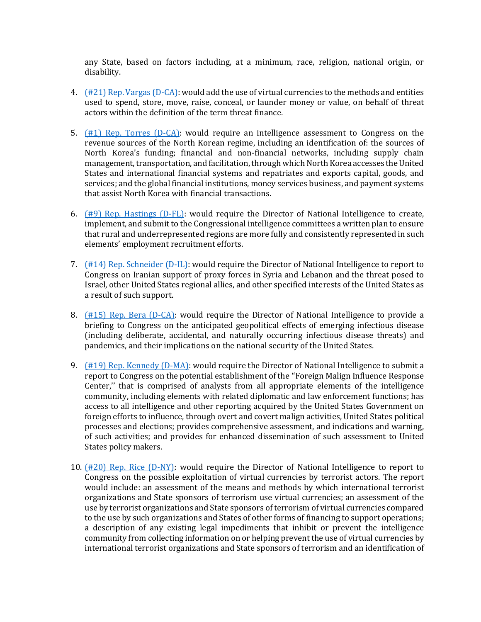any State, based on factors including, at a minimum, race, religion, national origin, or disability.

- 4. [\(#21\) Rep. Vargas \(D-CA\):](https://amendments-rules.house.gov/amendments/VARGAS_034_xml75180939543954.pdf) would add the use of virtual currencies to the methods and entities used to spend, store, move, raise, conceal, or launder money or value, on behalf of threat actors within the definition of the term threat finance.
- 5.  $(\#1)$  Rep. Torres (D-CA): would require an intelligence assessment to Congress on the revenue sources of the North Korean regime, including an identification of: the sources of North Korea's funding; financial and non-financial networks, including supply chain management, transportation, and facilitation, through which North Korea accesses the United States and international financial systems and repatriates and exports capital, goods, and services; and the global financial institutions, money services business, and payment systems that assist North Korea with financial transactions.
- 6. [\(#9\) Rep. Hastings \(D-FL\):](https://amendments-rules.house.gov/amendments/HASTFL_068_xml711180913191319.pdf) would require the Director of National Intelligence to create, implement, and submit to the Congressional intelligence committees a written plan to ensure that rural and underrepresented regions are more fully and consistently represented in such elements' employment recruitment efforts.
- 7. [\(#14\) Rep. Schneider \(D-IL\):](https://amendments-rules.house.gov/amendments/SCHNEI_090_xml71118120811811.pdf) would require the Director of National Intelligence to report to Congress on Iranian support of proxy forces in Syria and Lebanon and the threat posed to Israel, other United States regional allies, and other specified interests of the United States as a result of such support.
- 8. [\(#15\) Rep. Bera \(D-CA\):](https://amendments-rules.house.gov/amendments/BERA.043.xml7518150635635.pdf) would require the Director of National Intelligence to provide a briefing to Congress on the anticipated geopolitical effects of emerging infectious disease (including deliberate, accidental, and naturally occurring infectious disease threats) and pandemics, and their implications on the national security of the United States.
- 9. [\(#19\) Rep. Kennedy \(D-MA\):](https://amendments-rules.house.gov/amendments/KENNMA_036_xml710180856465646.pdf) would require the Director of National Intelligence to submit a report to Congress on the potential establishment of the ''Foreign Malign Influence Response Center,'' that is comprised of analysts from all appropriate elements of the intelligence community, including elements with related diplomatic and law enforcement functions; has access to all intelligence and other reporting acquired by the United States Government on foreign efforts to influence, through overt and covert malign activities, United States political processes and elections; provides comprehensive assessment, and indications and warning, of such activities; and provides for enhanced dissemination of such assessment to United States policy makers.
- 10. [\(#20\) Rep. Rice \(D-NY\):](https://amendments-rules.house.gov/amendments/RICENY_041_xml_0379181648304830.pdf) would require the Director of National Intelligence to report to Congress on the possible exploitation of virtual currencies by terrorist actors. The report would include: an assessment of the means and methods by which international terrorist organizations and State sponsors of terrorism use virtual currencies; an assessment of the use by terrorist organizations and State sponsors of terrorism of virtual currencies compared to the use by such organizations and States of other forms of financing to support operations; a description of any existing legal impediments that inhibit or prevent the intelligence community from collecting information on or helping prevent the use of virtual currencies by international terrorist organizations and State sponsors of terrorism and an identification of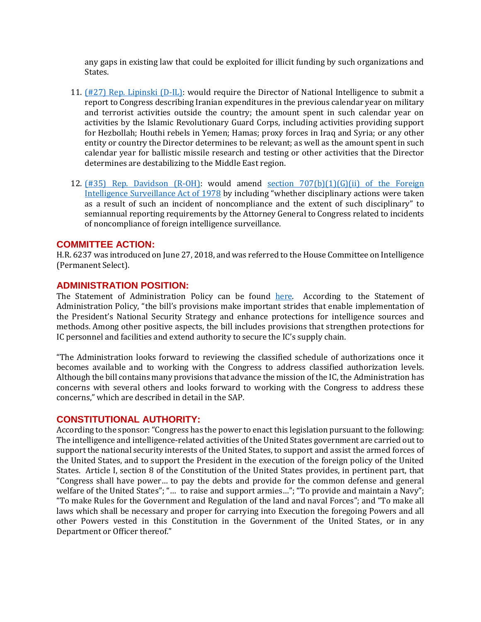any gaps in existing law that could be exploited for illicit funding by such organizations and States.

- 11. [\(#27\) Rep. Lipinski \(D-IL\):](https://amendments-rules.house.gov/amendments/LIPINS_107_xml%20REVISED710181032393239.pdf) would require the Director of National Intelligence to submit a report to Congress describing Iranian expenditures in the previous calendar year on military and terrorist activities outside the country; the amount spent in such calendar year on activities by the Islamic Revolutionary Guard Corps, including activities providing support for Hezbollah; Houthi rebels in Yemen; Hamas; proxy forces in Iraq and Syria; or any other entity or country the Director determines to be relevant; as well as the amount spent in such calendar year for ballistic missile research and testing or other activities that the Director determines are destabilizing to the Middle East region.
- 12. [\(#35\) Rep. Davidson \(R-OH\):](https://amendments-rules.house.gov/amendments/DAVIOH_081_xml711181225202520.pdf) would amend [section 707\(b\)\(1\)\(G\)\(ii\) of the Foreign](http://uscode.house.gov/view.xhtml?req=(title:50%20section:1881f%20edition:prelim))  [Intelligence Surveillance Act of 1978](http://uscode.house.gov/view.xhtml?req=(title:50%20section:1881f%20edition:prelim)) by including "whether disciplinary actions were taken as a result of such an incident of noncompliance and the extent of such disciplinary" to semiannual reporting requirements by the Attorney General to Congress related to incidents of noncompliance of foreign intelligence surveillance.

## **COMMITTEE ACTION:**

H.R. 6237 was introduced on June 27, 2018, and was referred to the House Committee on Intelligence (Permanent Select).

## **ADMINISTRATION POSITION:**

The Statement of Administration Policy can be found [here.](https://www.whitehouse.gov/wp-content/uploads/2018/07/saphr6237hr_20180711.pdf) According to the Statement of Administration Policy, "the bill's provisions make important strides that enable implementation of the President's National Security Strategy and enhance protections for intelligence sources and methods. Among other positive aspects, the bill includes provisions that strengthen protections for IC personnel and facilities and extend authority to secure the IC's supply chain.

"The Administration looks forward to reviewing the classified schedule of authorizations once it becomes available and to working with the Congress to address classified authorization levels. Although the bill contains many provisions that advance the mission of the IC, the Administration has concerns with several others and looks forward to working with the Congress to address these concerns," which are described in detail in the SAP.

## **CONSTITUTIONAL AUTHORITY:**

According to the sponsor: "Congress has the power to enact this legislation pursuant to the following: The intelligence and intelligence-related activities of the United States government are carried out to support the national security interests of the United States, to support and assist the armed forces of the United States, and to support the President in the execution of the foreign policy of the United States. Article I, section 8 of the Constitution of the United States provides, in pertinent part, that "Congress shall have power… to pay the debts and provide for the common defense and general welfare of the United States"; "... to raise and support armies..."; "To provide and maintain a Navy"; "To make Rules for the Government and Regulation of the land and naval Forces"; and "To make all laws which shall be necessary and proper for carrying into Execution the foregoing Powers and all other Powers vested in this Constitution in the Government of the United States, or in any Department or Officer thereof."